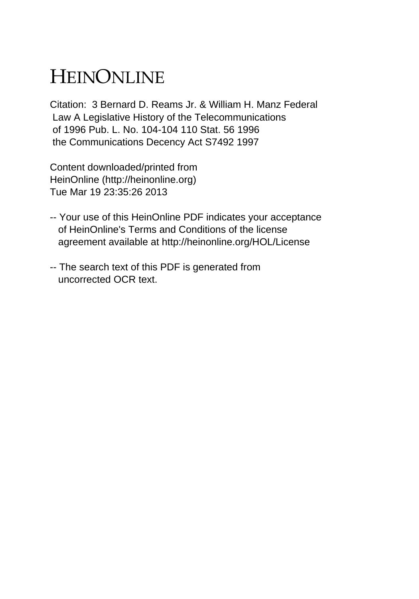# HEINONLINE

Citation: 3 Bernard D. Reams Jr. & William H. Manz Federal Law A Legislative History of the Telecommunications of 1996 Pub. L. No. 104-104 110 Stat. 56 1996 the Communications Decency Act S7492 1997

Content downloaded/printed from HeinOnline (http://heinonline.org) Tue Mar 19 23:35:26 2013

- -- Your use of this HeinOnline PDF indicates your acceptance of HeinOnline's Terms and Conditions of the license agreement available at http://heinonline.org/HOL/License
- -- The search text of this PDF is generated from uncorrected OCR text.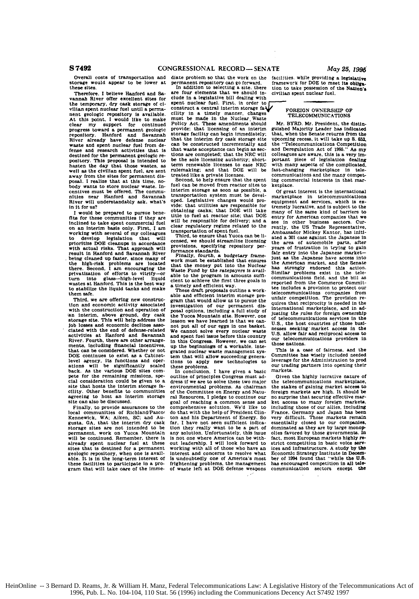Overall costs of transportation and

storage would appear to be lower at<br>these sites.<br>Therefore I believe Hanford and Sa-Therefore. **I** believe Hanford and Sa- vannah River offer excellent sites for **the** temporary, dry cask storage of civilian spent nuclear fuel until a permanent geologic repository is available. At this point. **I** would like to make clear my support for continued progress toward **a** permanent geologic repository. Hanford and Savannah River already have defense nuclear waste and spent nuclear fuel from de-fense and research activities that is destined for the permanent geologic repository. This proposal is intended to hasten the day that those wastes, as well as the civilian spent fuel, are sent away from the sites for permanent disposal. **I** realize that at this time, no**body** wants to store nuclear waste. In- centives must be offered. The communities near Hanford and Savannah River will understandably ask. what's in it for us?<br>I would be prepared to pursue bene-

**I**f the for these communities if they are inclined to take spent commercial fuel on an interim basis only. First, I am on an interim basis of my colleagues<br>to develop legislation that will to develop legislation that will prioritize **DOE** cleanups in accordance with actual risks. That approach will result in Hanford and Savannah River being cleaned up faster, since many of the high-risk problems are located there. Second. **I** am encouraging the privatization of efforts to vitrify-or turn into glass--high-level liquid wastes at Hanford. This is the best way to stabilize the liquid tanks and make them safe.

Third, we are offering new construc-<br>tion and economic activity associated tion and economic activity associated with the construction and operation of an interim, above ground, dry cask storage site. This will help address the job losses and economic declines asso- ciated with the end of defense-related activities at Hanford and Savannah River. Fourth, there are other arrangements. including financial incentives, that can be considered. Whether or not level can be considered. whether or not<br>level agency, its functions and oper-<br>ations will be significantly scaled back. As the various **DOE** sites compete for the remaining mission could be given to a site that hosts the interim storage fasite that hosts the interim storage fa-<br>cility. Other benefits to communities<br>agreeing to host an interim storage<br>site can also be discussed.

Finally, to provide assurances to the local communities of RichlandfPasco/ Kennewick. WA; Aiken, **SC;** and Augusta. **GA.** that the interim dry cask storage sites are not intended to be<br>permanent, work on Yucca Mountain<br>will be continued. Remember, there is<br>already spent nuclear fuel at these already spent nuclear fuel at these<br>sites that is destined for a permanent geologic repository, when one is avail- able. It Is in the long-term interest **of** these facilities to participate in a program that will take care of the immediate problem so that the work on the facilities. while providing a legislative permanent repository can go forward. In transverse for DOE to meet its obliga-

clude in a legislative bill dealing with spent nuclear fuel. First, in order to

construct a central interim storage fa $\sqrt{\phantom{a}}$  FOREIGN OWNERSHIP OF cility in a timely manner, changes **TELECOMMUNICATIONS** must be made in the Nuclear Waste Policy Act. These amendments should Mr. BYRD. Mr. President, the distin-<br>provide: that licensing of an interim guished Majority Leader has indicated provide: that licensing of an interim guissing of an interim guissing facility can begin immediately; that, when the Senate returns from the that the interim dry cask storage site upcoming recess, it will take up S. 652. that the interim dry cask storage site upcoming recess, it will take up **S. 652,** can be constructed incrementally and the "Telecommunications Competition that waste acceptance can begin as sec- and Deregulation Act of **1995."** As my tions are completed; that the NRC will colleagues are aware, this is a very imbe the sole licensing authority; short- portant piece and Deregulation Act of 1995." As my<br>tions are completed; that the NRC will colleagues are aware, this is a very im-<br>be the sole licensing authority; short- portant pie

interim storage as soon as possible, a **Of great interest is the international** transportation system must be devel-<br>transportation system must be devel-<br>marketplace in telecommunications<br>oped. Legislative changes would pro-<br>equipment and services, which is exvide: that utilities are responsible for tremely lucrative, and is ex-<br>obtaining casks; that DOE will take many of the same kind of barriers to title to fuel at reactor site; that DOE will be responsible for delivery; and a clear regulatory regime related to the

work must be established that ensures the American market, and the Senate that the money put into the Nuclear has strongly endorsed this actional Waste Fund by the rate program in amounts suffi- communications field, and t

These drait proposals outline a work-<br>able and efficient interim storage pro-<br>gram that would allow us to pursue the quires that reciprocity is needed in the<br>investigation of our permanent dis-<br>investigation of our permane **investigation of our permanent dis-** international marketplace, and in **ad-** posal options, including a full study of lusting the rules for foreign ownership the Yucca Mountain site. However, one of telecommunications services in the lesson we have learned is that we can-<br>lesson we have learned is that we can- **U.S.**, the host countries of those busi-<br>not put all of our eggs in not put all of our eggs in one basket. **nesses seeking' mreaket access** *in* **the** We cannot solve every nuclear waste **U.S.** allow fair and reciprocal access to and spent fuel issue before this country our telecommunications providers in in this Congress. However, we can set<br>in this Congress. However, we can set those nations.<br>up the beginnings of a workable, inteup the beginnings of a workable inte- grated nuclear waste management **Sys-** This is a **case** of fairness, and the tions to apply new technologies to these problems.

I have given a basic markets.<br>ples Congress must ad- Given the highly lucrative nature of outline of principles Congress must ad- Given **the** highly lucrative nature of dress if we are to solve these two major the telecommunications marketplace, environmental problems. As chairman the stakes of gaining market access to get the Committee on Energy and Natu- foreign markets are high. It sho of the Committee on Energy and Natu- foreign markets are high. It should be ral Resources, I pledge to continue our no surprise that securing effective marral Resources, I pledge to continue our no surprise that securing effective mar-<br>goal of reaching a common sense and ket access to many foreign markets. goal of reaching a common sense and ket access to many foreign markets. comprehensive solution. We'd like to including those of our allies, including do that with the help of President Clin- France, Germany and Japan has been to and his Department of Energy, So very difficult. Those markets remain<br>far. I have not seen sufficient indica-essentially closed to our companies. far. I have not seen sufficient indica- essentially closed to our companies, tion they really want to be a part of dominated as they are **by** large monopany solution. Unfortunately, this issue olies favored by the set of the solution. Unfortunately, this issue olies favored by those governments. In space is not one where America can be with-fact, most European markets high is not one where America can be with-fact, most European markets highly re-<br>out leadership. I will look forward to strict competition in basic voice serv-<br>working with all of those who have an ices and infrastructure. A st interest and concerns to resolve what Economic Strategy Institute in December and concerns to resolve what Economic Strategy Institute in December of 1994 found that "while the U.S."<br>frightening problems, the management ha

permanent repository can go forward. framework for DOE to meet its obligation to selecting a site. there it on<br>In addition to selecting a site. there it on to take possession of the Nation's<br>are four elements that we shoul

term renewable licenses to ease NRC with many aspects of the complicated.<br>rulemaking; and that DOE will be fast-changing marketplace in tele-<br>treated like a private licensee. communications and the many compet-Second, to help ensure that the spent **ing** commercial interests in that mar-<br>fuel can be moved from reactor sites to ketplace.

clear regime regime regime relative to the rently, the US Trade Representative, the US Trade Representative, Ambassador Mickey Kantor, has inititransportation of spent fuel.<br>Third, to ensure that Yucca can be li-<br>Ambassador Mickey Kantor, has initi-<br>Third, to ensure that Yucca can be li-<br>ated a 301 case against the Japanese in<br>censed, we should streamline licensin provisions, specifying repository per-<br>
rears of frustration in trying to gain<br>
formance standards.<br>
Finally, fourth, a budgetary frame-<br>
lust as the Japanese market-<br>
work must be established that ensures the American mar definite to achieve the first three goals in **reported from the Commerce Commit-**<br>These draft proposals outline a work-<br>tee includes a provision to protect our<br>able and efficient interim storage pro-<br>unfortune companies fr

Committee has wisely included needed<br>leverage for the Administration to prod our trading partners into opening their<br>conclusion. I have given a basic markets.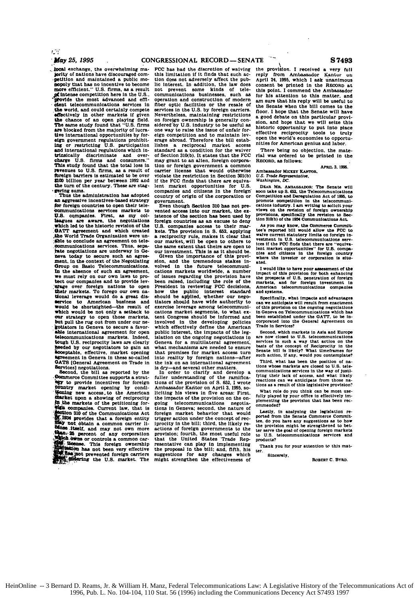£9£

*May* **25, 1995** *.* **CO!**

local exchange, the overwhelming **ma-** jority of nations have discouraged com- -petition and maintained a public monopoly that has no incentive to become more efficient." U.S. firms, as a result of intense competition here in the U.S. firms, and relation here in the U.S. of the most advanced and efflicient determinations services in the world, and could certainly compete<br>effectively in other markets if given effectively in other **markets** if given the chance of an open playing field. The same study found that "U.S. firms are blocked from the majority of lucrative international opportunities **by** for- eign government regulations prohibit-**ing** or restricting **U.S.** participation and international regulations which in-<br>trinsically discriminate and overcharge **U.S.** firms and consumers." This study found that the total loss in foreign barriers is estimated to be over **5100** billion per year between **1992** and the turn of the century. These are stag-

**gering sums.**<br>**Thus the administration has adopted**<br>**an aggressive incentives-based strategy** for foreign countries to open their telecommunications services markets to<br>U.S. companies. First, as my col-<br>Leagues are aware, the negotiations<br>which led to the historic revision of the **. She World Trade Organization were un-**<br>**Ah** a conclude an agreement on tele**communications services.** Thus, sepa-<br>tate negotiations are underway in Gefate negotiations are underway in Geneva solar to a sere-<br>ment, in the context of the Negotiating<br>Group on Basic Telecommunications.<br>Group on Basic Telecommunications.<br>In the absence of such an agreement,<br>we must rely on tect our companies and to provide lev-<br> **terage** over foreign nations to open :eMge over foreign nations to open **their** markets. To forego our own na- tonal leverage would do a great **dis-Service** to American business and **would** be shortsighted—the result of which would be not only a setback to our strategy to open those markets, but pull the rug out from under our ne-<br>gotiators in Geneva to secure a favorable international agreement for open<br>telecommunications markets. Indeed,<br>tough U.S. reciprocity laws are clearly **tough U.S. reciprocity laws are clearly 1keeded by our negotiators to gain an moderation**. effective, market opening **agreement in Geneva in these so-called GATS (General Agreement on Trade in** 

GATS (General Agreement on Trade in Second. the bill as reported by the **Oommerce Committee supports a strategy** to provide incentives for foreign beautify market opening by condi-<br>teaming new access, to the American<br>**darket** upon a showing of reciprocity **reference and a showing of reciprocity**<br>the markets of the petitioning for-<br>**i**Companies. Current law, that is **is i**on 310 of the Communications Act **in the State Provides** that a foreign entity and the provides that a common carrier **II-88680 itself, and may not own more<br>
<b>Apar.** 26 percent of any corporation<br> **UOM.0s as a controls a common car-With Hosnee.** This foreign ownership<br>**Addition** has not been very effective **te was not been very enecuve**<br>**The fine not prevented foreign carriers**<br>**The substring** the U.S. market. The

## **CONGRESSIONAL RECORD-SENATE**

**FCC** has **had** the discretion of waiving this limitation is detersely affect the pub-<br>lic interest. In addition, the law does<br>not prevent some kinds of tele-<br>communications businesses, such as communications businesses, such as operation and construction of modern fiber optic facilities or the resale **of** services in the **U.S. by** foreign carriers. Nevertheless, maintaining restrictions<br>on foreign ownership is generally considered<sup>'</sup>by U.S. industry to be useful as one way to raise the issue of unfair foreign competition and to maintain leverage abroad. Therefore the bill estab-<br>lishes a reciprocal market access<br>standard as a condition for the waiver of Section **310(b).** It states that the **FCC** may grant to an alien, foreign corporation or foreign government a common carrier license that would otherwise if the FCC finds that there are equiva-<br>lent market opportunities for U.S. companies and citizens in the foreign" country of origin of the corporation or government.

vented access into our market, the existence of the section has been used **by** foreign countries as an excuse to deny U.S. companies access to their marareciprocity rule, makes it clear that are reprocity rule, makes it clear that our market, will be open to others to the same extent that theirs are open to our investment. This is as it should be. Given the importance of this provi-

sion, and the tremendous stakes in-<br>volved in the future telecommunications markets worldwide, a number of issues regarding the provision have been raised, including the role of the President in reviewing FCC decisions.<br>how the public interest standard<br>should be applied, whether our nego-<br>tiators should have wide authority to exercise leverage among telecommuni-<br>cations market segments, to what excations market segments should be informed and involved in the developing policies which effectively define the American policies public interest, the impacts of the legislation on the ongoing negotiations in Geneva for a multilateral agreement. what mechanisms are needed to ensure that promises for market access turn into reality **by** foreign nations--after the ink on an international agreement Is dry-and several other matters.<br>In order to clarify and develop a

fuller understanding of the ramifica- tions of the provision of **S. 652, I** wrote Ambassador Kantor on April **3. 1995,** soliciting his views in five areas: First. the impacts of the provision on the ongoing telecommunications negotia-tions in Geneva; second. the nature **of** foreign market behavior that would trigger action under the concept of rec-<br>iprocity in the bill; third, the likely reactions of foreign governments to the provision; fourth, the most useful role that the United States 'Trade Representative can play In implementing the proposal in the **bill:** and. **fifth,** his suggestions for any changes which might strengthen the effectiveness of

the provision. **I** received **a** very full reply from Ambawdor Kantur **on** April 24, **1995.** which I ask unanimous consent be printed in the RECORD at this point. I commend the Ambassador **for** his attention to this matter, and am sure that his reply will be useful to the Senate when the bill comes to the floor. **I** hope that the Senate will have a good debate on this particular provision, and hope that we will seize this historic opportunity to put into place effective reciprocity tools to **truly** open the world's economies to opportunities for American genius and labor.

There being no objection, the material was ordered to be printed in the RECORD, as follows:

APRIL **3, 995.** Ambassador MicxeY KANTOR. **U.S. Trads Represesnttive,**

Washington. **DC.**

DEAR MR. AMEASSADOR: The Senate will<br>soon take up S. 632, the Telecommunications<br>Competition and Deregulation Act of 1985, to<br>promote competition in the telecommuni-<br>cations industry. I am writing to solicit your<br>views on provisions. specifically the revision to **See- tion 310(b)** of the 1934 Communications Act.

As you may know, the Commerce Commit-<br>tee's reported bill would allow the PCC to<br>waive current statutory limite on foreign in-<br>vestment in U.S. telecommunications served<br>tees if the PCC finds that there are "equiva-<br>lent m

I would like to have your assessment of the proposition for both enhancing the prospects of U.S. penetration of foreign markets, and for foreign investment in American dependent of  $\Delta$  and  $\Delta$  and  $\Delta$  and  $\Delta$  and  $\Delta$ 

conventions with the minimum and constant of the provision on the original proportion in the charge in the comparation in the charge of the base established under the GATT, to be incremented into the General Agreement on C

second, which makes in here are now closed to U.S. telecommunications<br>are now closed to U.S. telecommunications<br>basis of the concept of Reciprocity in the<br>Senate bill is likely? What timeframes for<br>such action, if any, wou

tions whose markets are closed to U.S. tele-<br>communications services in the way of just-<br>if ying their lack of access, and what likely<br>reactions can we anticipate from those na-<br>tions as a result of this legislative provis

What **role** do **you** think can **be** most use- fully played **by your** office in effectively **im.** plementing the provision that has been rec- ormmended?

Lastly, in analyzing the legislation re-<br>ported from the Senate Commit-<br>tee, do you have any auggestions as to how<br>the provision might be strengthened to bet-<br>ter serve the goal of opening foreign markets<br>to U.S. telecommu

Thank you for your attention *to* this matter.<br>
Sincerely, **ROBERT C. BTRD.**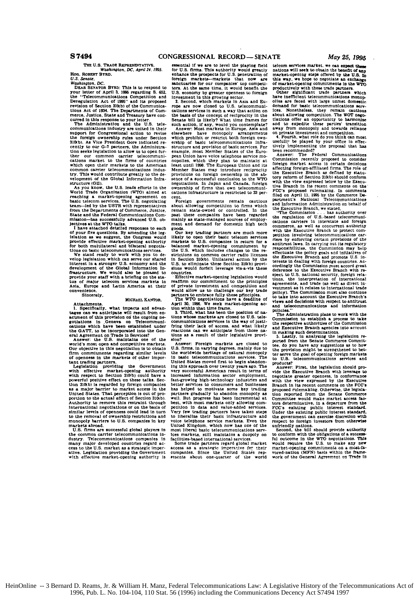**THE U.S. TRADE REPRESENTATIVE.** Washington. *DC,* **Apil 24.1995.**

**Hon. ROBERT BYRD,** 

*U.S.* **Senate.** *Wohigton.* **DC.**

DEAR SENATOR BYRD: This is to respond to<br>your letter of April 3, 1986 regarding S. 652,<br>the "Telecommunications Competition and<br>Deregulation Act of 1995" and its proposed<br>revision of Section 3000) of the Communica-<br>tions A

merce. Justice, State and Treasury have con-<br>curred in this response to your letter.<br>The Administration and the U.S. tele-<br>communications industry are united in their<br>support for Congressional action to revise<br>the foreign which open their markets to the American common carrier telecommunications indus-try. This would contribute greatly to **the** de-velopment **of** the **Global** Information Infra-

structure **IGU). As** you know, the **U.S.** leads efforts In the World Trade Organization (WTO) aimed at reaching **a** market-opesing agreement on basic telecom services. The **U.S.** negotiating team-led **by** the **USTR** with representatives **from** the Departments **of** Commerce, Justice, State and the Federal Communications Commission-has **successfully** advanced **U.S. ob-**jectives at the WTO talks.

In ave attached detailed responses to each<br>of your five questions. By amending the leg-<br>islation as we suggest, the Congress would<br>provide effective market-opening authority<br>for both multilateral and bihateral negotia-

tions on basic telecommuncatlons services. We stand ready to work with you to de- velop legislation which can serve our **shared** interest in a stronger U.S. economy and the<br>development of the Global Information In-<br>frastructure. We would also be pleased to<br>provide your staff with a briefing on the sta-<br>tus of major telecom services markets in<br>Asia, convenience,<br>Sincerely,

## **MICHAEL KANTOR.**<br>**Attachments.**

Attachments.<br>1. Specifically, what impacts and advan-I. Specifically, what impacts and avenues and advanced the section of the section of the section of  $\alpha$  continues on  $\alpha$  relection which have been established under

the GATT, to be incorporated into the control and control and the GATT, to be incorporated into the Gen-<br>Answer: the U.S. maintains one of the Solution and completive markets. The U.S. maintains one of the world spacing in

essential if we are to level the playing field<br>for U.S. firms. This authority would greatly<br>enhance the prospects for U.S. penetration of<br>foreign markets-markets that now are sanctuaries for our companies' **top** competi-tors. At the same time. it would benefit the **U.S.** economy **by** greater openness **to** foreign

investment in this growing sector.<br> **2.** Second, which markets in Asia and Eu-<br>
rope are now closed to U.S. *telecommuni-*<br>cations services in such a way that action on the **basis** of the concept of reciprocity in the Senate **bill** is likely? What time frames for such action, if **any, would** you contemplate? Answer: Most markets in Europe. Asia and

elsewhere have monopoly arrangements which prohibit or restrict both foreign own-ership of basic telecommunications Infrastructure and provision of basic services. For example, most Member States of the Euro- pean Union have voice telephone service **mo**nopolies. which they plan to maintain at least until **1998.** The European **Union** and its Member States may introduce reciprocity provisions on foreign ownership **in** the **at**sence of a successful conclusion to **the VITO** negotiations. In Japan and Canada, foreign ownership of firms that own telecommunications infrastructure is restricted **to 33 per-**

cent. Foreign governments remain cautious **about** allowing competition to firms **which** remain state-owned or controlled. In the past these companies have been regarded mainly **as** state-managed sources of employ-ment and demand for domestic high tech goods.<br>Our key trading partners are much more

Our key trading partners are much more likely to open their basic celecom services markets to **U.S.** companies in return for **<sup>a</sup>** balanced market-opening commitment **by** the **U.S-** which includes **changes to the re**strictions on common carrier radio licenses<br>in Section 310(b). Unilateral action by the<br>U.S. to eliminate these Section 310(b) provi-<br>sions would forfeit leverage vis-a-yis these

countries. **.**Effective market-opening legislation would reaffirm our commitment to the principles of private investment and competition and<br>would allow us to challenge our key trade<br>partners to embrace hilly these principles.<br>The WTO negotiations have a dealine of<br>April 30, 1996. We seek market-opening ac-

tion within that time frame.<br>
13 Third, what has been the position of nations whose markets are closed to U.S. tele-<br>
communications services in the way of just<br>
15 ying their lack of access. and what likely<br>
tying their l

**sion?** Answer: Foreign markets **are** closed **to U.S. firms, in** varying degrees, mainly due to the worldwide heritage of natural monopoly in basic telecommunications services. The United States moved first **to** begin abandoning this approach over twenty years ago. The very successful American result **in** terms of increased information sector employment. fast-growing high-technology industries and better services to consumers and businesses has helped **to motivate some key** trading partners gradually to abandon monopoly **as** well. But progress has been incremental at best, with most markets only allowing competition in data **and** value-added services. Very few trading partners have taken steps to liberalize their basic infrastructure and voice telephone service markets. Even the United Kingdom. which now has one **of** the most liberal basic telecommunications **serv**ices markets, still maintains a duopoly on

facilities-based internationa services. Some trade partners regard global market access **as** a stmtnic imperaive **fer** their companies. Since the United States rep-sesents about one-Quarter of the world

**TE** *May 25, 1995*<br>*releam services market*. we can expect them telcom services market, we can **expet** thes nations will seek to obtain the benefit **ofa\*y** market-opening steps offered **by** the **U** S. in

this way, we hope to negotiate an exchange<br>of market-opening commitments in the WTO<br>productively with these trade partners. The Coher significant trade partners which<br>have inefficient telecommunications monopolies are face

tlations offer an opportunity to harmonize offer and to expedite these parties' transition<br>and to expedite these parties' transition<br>away from monopoly and towards reliance<br> $\alpha$ , Fourth, what role do you think can most<br>use

Commission recently proposed to onsider foreign market access in certain decisions affecting foreign-affillated firms. The role of **the** Executlve Branch **as** defined **by** statu-tory reform of Section **310(b)** should conform with the view expressed below **by** the Execu-tive Branch in its recent comments on the **FCC's** proposed rulemaking. In comments filed on April **11. 1995 by** the Commerce De-partment's National Telecommunications and Information Administration on behalf of

the Executive Branch. we stated. *'"The* Commission **...** has authority over the regulation of US.-based telecommunications carriers in interstate **and** foreign commerce, as well as concurrent authority with the Executive Branch **to** protect competition involving telecommunications carriers by enforcing certain provisions of the commission and there responsibilities, the Commission may belige<br>responsibilities, the Commission may belige effectuate the policy goals tions, the interpretation of international agreements, and trade **(as well as direct in-**<br>vestment as it relates to international trade policy). The Commission must also continue **to take into** account the Executive Branch's views **and** decisions with respect to antitrust **and** teecommunications **and** information pollicisa"

The Administration plans **to** work with the

Commission to establish a process to take<br>the respective authorities of the Commission<br>and Executive Branch agencies into account<br>in making such determinations.<br>In making such determinations,<br>5. Lastly, in analyzing the le

products? Answer: First. the legislation should **pro**vide the Executive Branch with leverage to<br>regotiate greater openess, in conformance<br>with the view expressed by the Executive<br>Branch in its recent comments on the FCC's<br>proposed rulemaking. Otherwise, the legisla-<br>tion rep Committee would make market access fac-<br>tors determinative, in a departure from the<br>FCC's existing public interest standard.<br>Under the existing public interest standard. the government can exercise discretion with respect to foreign investors from otherwise unfriendly nations. Second. the **bill** should provide authority

**to** conform with the obligations of **a** success ful outcome in the WTO negotiations. **This** would **require** the **U.S. to** make any new market-opening commitments on a muat-fa- vored-nation **(MFN) basis** within the **frame**work of the General Agreement On Trade in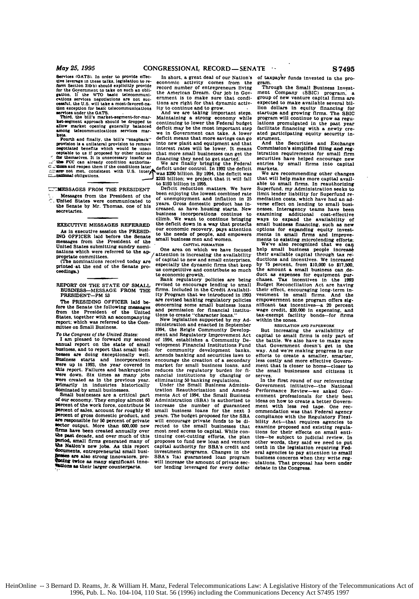Services (GATS). In order to provide effect-<br>In short, a great deal of our Nation's tive is<br>verse in these talks, legislation to re-<br>form Section 310th should explicitly provide erecord number of entrepreneurs living<br>for

**ING** OFFICER laid before the Senate **messages** from the President of the small business men and women.<br>United States submitting sundry nomi-United States submitting sundry nomi-<br>nations which we have focused<br>propriate committees.<br>propriate committees.

The PRESIDING OFFICER laid be-fore the Senate the following messages Fore the Senate the following messages concerning some small business loans<br>from the President of the United and permission for financial institu-<br>from the President of the United form the President of the United and permission for financial institu-<br>of the Bresident of the United States, together with an accompanying<br>states, together with an accompanying to the Comported by my Admittee on Small Bus

cessari the U.S. will take a most favored-ha. those are right for that dynamic activ-<br>tion streeting for the U.S. will take a most-favored-ha. those the first the built of services under the GATS.<br>Third, the built and we a

**bo** \$193 billion in 1995.<br>**MESSAGES FROM THE PRESIDENT** Deficit reduction matters. We have **ETMESSAGES FROM THE PRESIDENT** Deficit reduction matters. We have<br>  $\therefore$  Messages from the President of the been enjoying the lowest combined rate<br>  $\therefore$  United States were communicated to years. Gross domestic product h climb. We want to continue bringing<br>the deficit down in a way that protects **EXECUTIVE MESSAGES REFERRED** the deficit down in a way that protects  $\mathbf{A}\mathbf{s}$  in executive session the PRESID- our economic recovery, pays attention  $\mathbf{A}\mathbf{s}$  and empowers

attention is increasing the availability of capital to new and small enterprises. (The nominations received today are <sup>of capital to new and small enterprises,<br>printed at the end of the Senate pro-<br>especially the dynamic firms that keep</sup> printed-at the end of the Senate pro- especially the dynamic firms that keep ceedings.) us competitive and contribute so much

Bank regulatory policies are being<br>bank regulatory policies are being<br>revised to encourage lending to small<br>firms. Included in the Credit Availabil-<br>firms. REPORT ON THE STATE OF SMALL revised to encourage lending to small<br> **BUSINESS--MESSAGE FROM THE firms.** Included in the Credit Availabil-<br> **PRESIDENT-PM 53 ity Program that we introduced in 1993**<br> **The PRESIDENT-PM OFFIC** 

To the Congress of the United States: ment and Regulatory Improvement Act<br>
I am pleased to forward my second of 1994, establishes a Community De-<br>
annual report on the state of small velopment Financial Institutions Fund<br>

of taxpayer funds invested in the program.<br>Through the Small Business Investment Company (SBIC) program, a group of new venture capital firms are expected to make available several bil-<br>lion dollars in equity financing for program will continue to grow as regulated in the past year ated participating with a newly cre-<br>ated participating equity security in-<br>strument.<br>And the Securities and Exchange

And the Securities and Exchange<br>Commission's simplified filing and reg-Commission's simplified filing **and reg-** istration requirements for small firm securities have helped encourage new entries **by** small firms into capital markets.

We are recommending other changes that will help make more capital avail-<br>able to small firms. In reauthorizing<br>Superfund, my Administration seeks to<br>Superfund, my Administration seeks to<br>limit lender liability for Superfu mediation costs, which have had an adverse effect on lending to small busi-<br>nesses. Interagency teams have been<br>nesses. Interagency teams have been<br>examining additional cost-effective<br>ways to expand the availability of<br>sma

ments in small business and impoverance ments to existing microlending efforts.<br>We've also recognized that we can help small business people increased<br>their available capital through tax re-<br>ductions and incentives. We inc **by 75** percent, from **110.000** to **\$17,500.** the amount **a** small business can de- duct as expenses for equipment pur- chases. Tax incentives in the **<sup>1993</sup>** Budget Reconciliation Act are having their effect, encouraging long-term In-<br>their effect, encouraging long-term In-<br>restment in small firms. And the<br>empowerment zone program offers sig-<br>wage credit, \$20,000 in expensing, and wage credit, 120,000 In expensing, and tax-exempt facility bonds--for firms within the zones.

**REGULATION AND PAPERWORK** 

Euclideating the availability of<br>capital to small firms is only part of<br>the battle. We also have to make sure<br>that Government doesn't get in the<br>efforts to create a smaller, smarter,<br>less costly and more effective Governme

compliance with the Regulatory Flexi-<br>bility Act---that requires agencies to examine proposed and existing regulastandard represent the effects on small entire-<br>be-be subject to judicial review. In<br>other words, they said we need to put<br>teeth in the legislation requiring Fed-<br>eral agencies to pay attention to small<br>business concerns w

HeinOnline -- 3 Bernard D. Reams, Jr. & William H. Manz, Federal Telecommunications Law: A Legislative History of the Telecommunications Act of 1996, Pub. L. No. 104-104, 110 Stat. 56 (1996) including the Communications Decency Act S7495 1997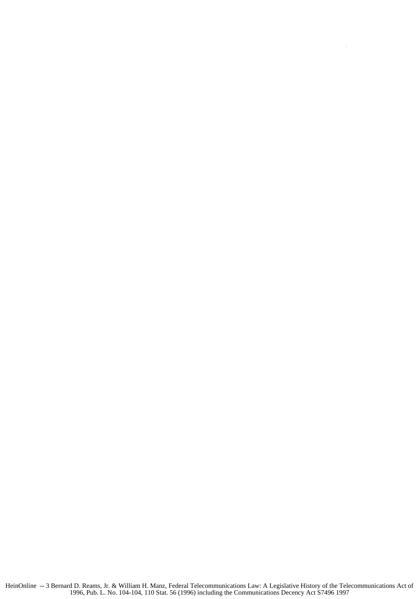HeinOnline -- 3 Bernard D. Reams, Jr. & William H. Manz, Federal Telecommunications Law: A Legislative History of the Telecommunications Act of 1996, Pub. L. No. 104-104, 110 Stat. 56 (1996) including the Communications Decency Act S7496 1997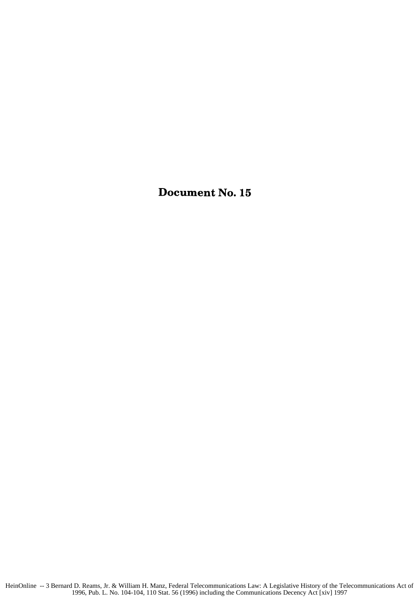Document No. **15**